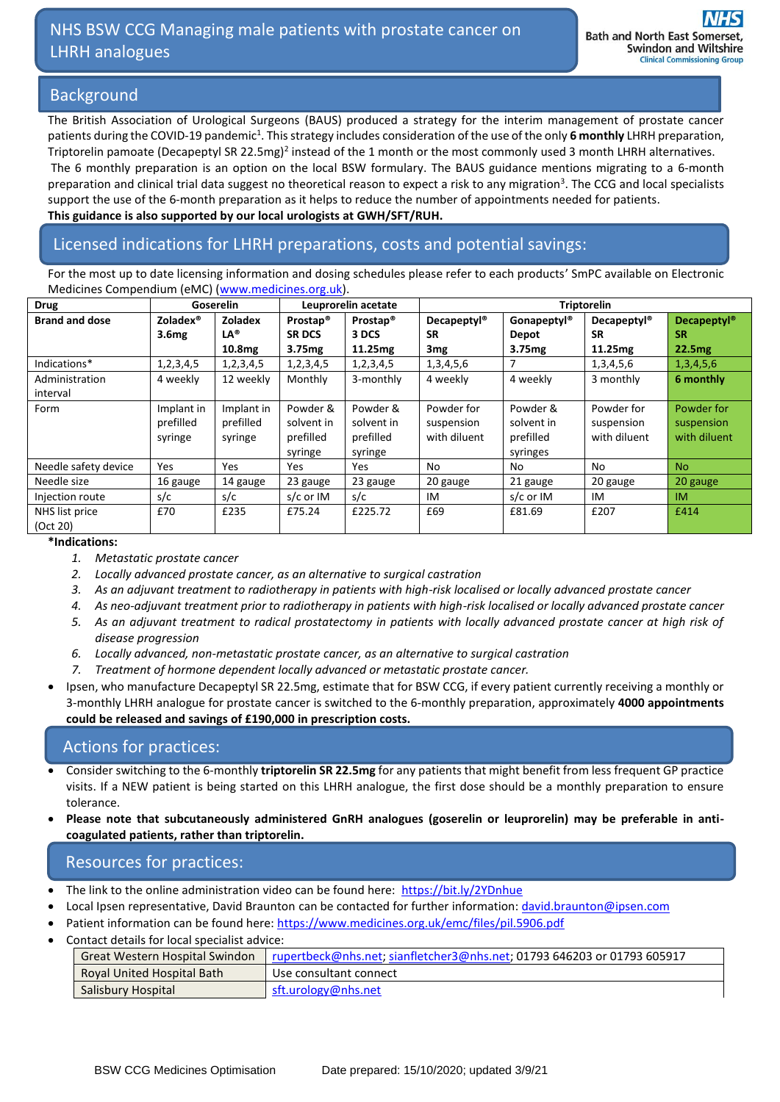# NHS BSW CCG Managing male patients with prostate cancer on LHRH analogues

## Background

The British Association of Urological Surgeons (BAUS) produced a strategy for the interim management of prostate cancer patients during the COVID-19 pandemic<sup>1</sup>. This strategy includes consideration of the use of the only 6 monthly LHRH preparation, Triptorelin pamoate (Decapeptyl SR 22.5mg)<sup>2</sup> instead of the 1 month or the most commonly used 3 month LHRH alternatives. The 6 monthly preparation is an option on the local BSW formulary. The BAUS guidance mentions migrating to a 6-month preparation and clinical trial data suggest no theoretical reason to expect a risk to any migration<sup>3</sup>. The CCG and local specialists support the use of the 6-month preparation as it helps to reduce the number of appointments needed for patients. **This guidance is also supported by our local urologists at GWH/SFT/RUH.**

# Licensed indications for LHRH preparations, costs and potential savings:

For the most up to date licensing information and dosing schedules please refer to each products' SmPC available on Electronic Medicines Compendium (eMC) [\(www.medicines.org.uk\)](http://www.medicines.org.uk/).

| <b>Drug</b>           | <b>Goserelin</b>     |                    | Leuprorelin acetate  |                      | <b>Triptorelin</b>      |                         |                         |                               |
|-----------------------|----------------------|--------------------|----------------------|----------------------|-------------------------|-------------------------|-------------------------|-------------------------------|
| <b>Brand and dose</b> | Zoladex <sup>®</sup> | Zoladex            | Prostap <sup>®</sup> | Prostap <sup>®</sup> | Decapeptyl <sup>®</sup> | Gonapeptyl <sup>®</sup> | Decapeptyl <sup>®</sup> | <b>Decapeptyl<sup>®</sup></b> |
|                       | 3.6 <sub>mg</sub>    | $LA^{\odot}$       | <b>SR DCS</b>        | 3 DCS                | <b>SR</b>               | Depot                   | <b>SR</b>               | <b>SR</b>                     |
|                       |                      | 10.8 <sub>mg</sub> | 3.75 <sub>mg</sub>   | 11.25mg              | 3 <sub>mg</sub>         | 3.75 <sub>mg</sub>      | 11.25mg                 | 22.5mg                        |
| Indications*          | 1, 2, 3, 4, 5        | 1, 2, 3, 4, 5      | 1, 2, 3, 4, 5        | 1, 2, 3, 4, 5        | 1, 3, 4, 5, 6           | 7                       | 1,3,4,5,6               | 1,3,4,5,6                     |
| Administration        | 4 weekly             | 12 weekly          | Monthly              | 3-monthly            | 4 weekly                | 4 weekly                | 3 monthly               | 6 monthly                     |
| interval              |                      |                    |                      |                      |                         |                         |                         |                               |
| Form                  | Implant in           | Implant in         | Powder &             | Powder &             | Powder for              | Powder &                | Powder for              | Powder for                    |
|                       | prefilled            | prefilled          | solvent in           | solvent in           | suspension              | solvent in              | suspension              | suspension                    |
|                       | syringe              | syringe            | prefilled            | prefilled            | with diluent            | prefilled               | with diluent            | with diluent                  |
|                       |                      |                    | syringe              | syringe              |                         | syringes                |                         |                               |
| Needle safety device  | <b>Yes</b>           | <b>Yes</b>         | Yes                  | Yes.                 | No                      | No.                     | No.                     | <b>No</b>                     |
| Needle size           | 16 gauge             | 14 gauge           | 23 gauge             | 23 gauge             | 20 gauge                | 21 gauge                | 20 gauge                | 20 gauge                      |
| Injection route       | s/c                  | s/c                | s/c or IM            | s/c                  | IM                      | s/c or IM               | IM                      | <b>IM</b>                     |
| NHS list price        | £70                  | £235               | £75.24               | £225.72              | £69                     | £81.69                  | £207                    | £414                          |
| (Oct 20)              |                      |                    |                      |                      |                         |                         |                         |                               |

#### **\*Indications:**

- *1. Metastatic prostate cancer*
- *2. Locally advanced prostate cancer, as an alternative to surgical castration*
- *3. As an adjuvant treatment to radiotherapy in patients with high-risk localised or locally advanced prostate cancer*
- *4. As neo-adjuvant treatment prior to radiotherapy in patients with high-risk localised or locally advanced prostate cancer*
- *5. As an adjuvant treatment to radical prostatectomy in patients with locally advanced prostate cancer at high risk of disease progression*
- *6. Locally advanced, non-metastatic prostate cancer, as an alternative to surgical castration*
- *7. Treatment of hormone dependent locally advanced or metastatic prostate cancer.*
- Ipsen, who manufacture Decapeptyl SR 22.5mg, estimate that for BSW CCG, if every patient currently receiving a monthly or 3-monthly LHRH analogue for prostate cancer is switched to the 6-monthly preparation, approximately **4000 appointments could be released and savings of £190,000 in prescription costs.**

# Actions for practices:

- Consider switching to the 6-monthly **triptorelin SR 22.5mg** for any patients that might benefit from less frequent GP practice visits. If a NEW patient is being started on this LHRH analogue, the first dose should be a monthly preparation to ensure tolerance.
- **Please note that subcutaneously administered GnRH analogues (goserelin or leuprorelin) may be preferable in anticoagulated patients, rather than triptorelin.**

### Resources for practices:

- The link to the online administration video can be found here:<https://bit.ly/2YDnhue>
- Local Ipsen representative, David Braunton can be contacted for further information: [david.braunton@ipsen.com](mailto:david.braunton@ipsen.com)
- Patient information can be found here[: https://www.medicines.org.uk/emc/files/pil.5906.pdf](https://www.medicines.org.uk/emc/files/pil.5906.pdf)
- Contact details for local specialist advice:

|                            | Great Western Hospital Swindon   rupertbeck@nhs.net; sianfletcher3@nhs.net; 01793 646203 or 01793 605917 |
|----------------------------|----------------------------------------------------------------------------------------------------------|
| Royal United Hospital Bath | Use consultant connect                                                                                   |
| Salisbury Hospital         | sft.urology@nhs.net                                                                                      |